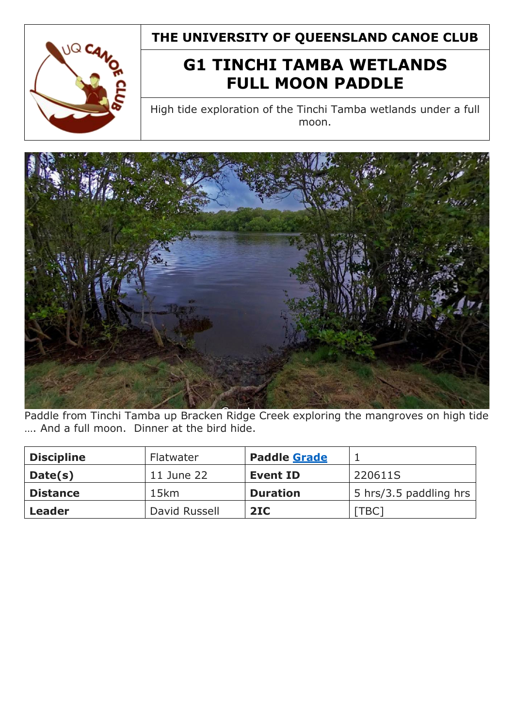

**THE UNIVERSITY OF QUEENSLAND CANOE CLUB**

## **G1 TINCHI TAMBA WETLANDS FULL MOON PADDLE**

High tide exploration of the Tinchi Tamba wetlands under a full moon.



Paddle from Tinchi Tamba up Bracken Ridge Creek exploring the mangroves on high tide …. And a full moon. Dinner at the bird hide.

| <b>Discipline</b> | Flatwater     | <b>Paddle Grade</b> |                        |
|-------------------|---------------|---------------------|------------------------|
| Date(s)           | 11 June 22    | <b>Event ID</b>     | 220611S                |
| <b>Distance</b>   | 15km          | <b>Duration</b>     | 5 hrs/3.5 paddling hrs |
| Leader            | David Russell | 2IC                 | [TBC <sub>1</sub>      |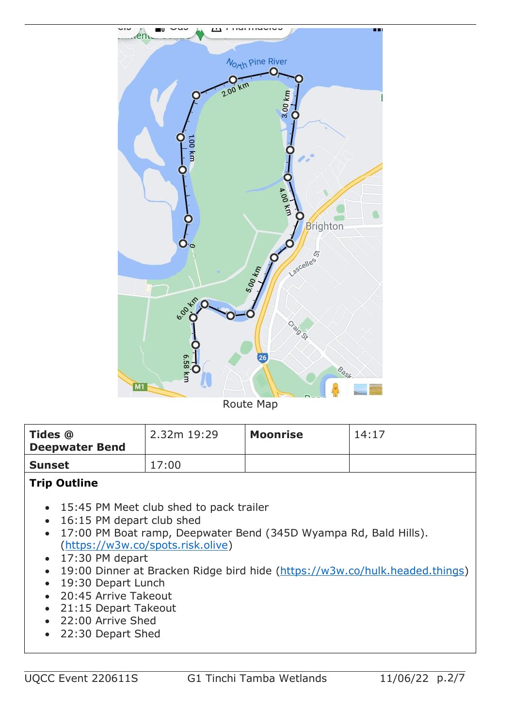

Route Map

| <b>Tides @</b><br><b>Deepwater Bend</b> | 2.32m 19:29 | <b>Moonrise</b> | 14:17 |
|-----------------------------------------|-------------|-----------------|-------|
| <b>Sunset</b>                           | 17:00       |                 |       |

#### **Trip Outline**

- 15:45 PM Meet club shed to pack trailer
- 16:15 PM depart club shed
- 17:00 PM Boat ramp, Deepwater Bend (345D Wyampa Rd, Bald Hills). [\(https://w3w.co/spots.risk.olive\)](https://w3w.co/spots.risk.olive)
- 17:30 PM depart
- 19:00 Dinner at Bracken Ridge bird hide [\(https://w3w.co/hulk.headed.things\)](https://w3w.co/hulk.headed.things)
- 19:30 Depart Lunch
- 20:45 Arrive Takeout
- 21:15 Depart Takeout
- 22:00 Arrive Shed
- 22:30 Depart Shed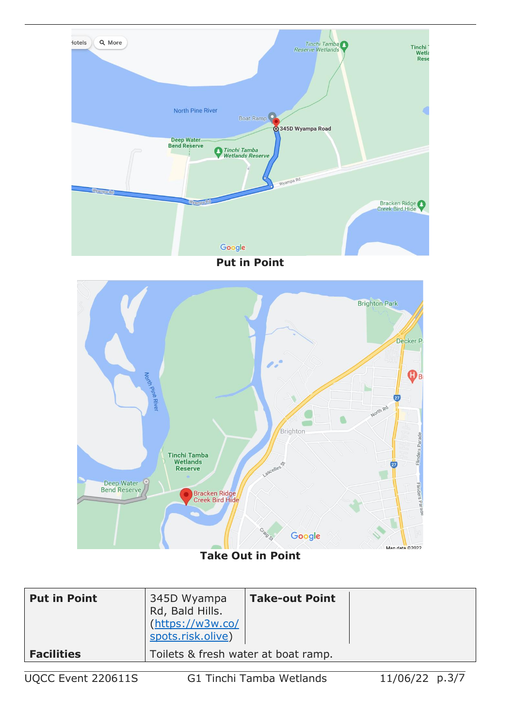





**Take Out in Point**

| <b>Put in Point</b> | 345D Wyampa<br>Rd, Bald Hills.<br>(https://w3w.co/<br>spots.risk.olive) | <b>Take-out Point</b> |  |
|---------------------|-------------------------------------------------------------------------|-----------------------|--|
| <b>Facilities</b>   | Toilets & fresh water at boat ramp.                                     |                       |  |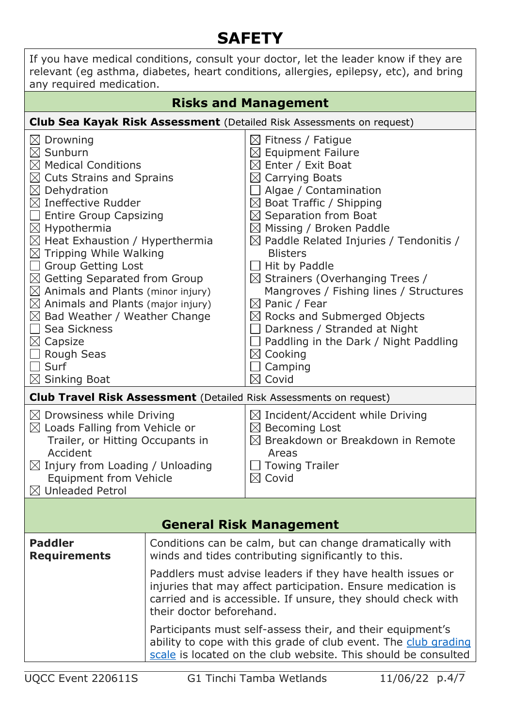# **SAFETY**

| If you have medical conditions, consult your doctor, let the leader know if they are<br>relevant (eg asthma, diabetes, heart conditions, allergies, epilepsy, etc), and bring<br>any required medication.                                                                                                                                                                                                                                                                                                                                                                                                                                                 |                                                                                                                                                                                                                        |                                                                                                                                                                                                                                                                                                                                                                                                                                                                                                                                                                                                                                                                                                                                                          |  |  |
|-----------------------------------------------------------------------------------------------------------------------------------------------------------------------------------------------------------------------------------------------------------------------------------------------------------------------------------------------------------------------------------------------------------------------------------------------------------------------------------------------------------------------------------------------------------------------------------------------------------------------------------------------------------|------------------------------------------------------------------------------------------------------------------------------------------------------------------------------------------------------------------------|----------------------------------------------------------------------------------------------------------------------------------------------------------------------------------------------------------------------------------------------------------------------------------------------------------------------------------------------------------------------------------------------------------------------------------------------------------------------------------------------------------------------------------------------------------------------------------------------------------------------------------------------------------------------------------------------------------------------------------------------------------|--|--|
| <b>Risks and Management</b>                                                                                                                                                                                                                                                                                                                                                                                                                                                                                                                                                                                                                               |                                                                                                                                                                                                                        |                                                                                                                                                                                                                                                                                                                                                                                                                                                                                                                                                                                                                                                                                                                                                          |  |  |
|                                                                                                                                                                                                                                                                                                                                                                                                                                                                                                                                                                                                                                                           |                                                                                                                                                                                                                        | <b>Club Sea Kayak Risk Assessment</b> (Detailed Risk Assessments on request)                                                                                                                                                                                                                                                                                                                                                                                                                                                                                                                                                                                                                                                                             |  |  |
| $\boxtimes$ Drowning<br>$\boxtimes$ Sunburn<br>$\boxtimes$ Medical Conditions<br>$\boxtimes$ Cuts Strains and Sprains<br>$\boxtimes$ Dehydration<br>$\boxtimes$ Ineffective Rudder<br>$\Box$ Entire Group Capsizing<br>$\boxtimes$ Hypothermia<br>$\boxtimes$ Heat Exhaustion / Hyperthermia<br>$\boxtimes$ Tripping While Walking<br><b>Group Getting Lost</b><br>$\boxtimes$ Getting Separated from Group<br>$\boxtimes$ Animals and Plants (minor injury)<br>$\boxtimes$ Animals and Plants (major injury)<br>$\boxtimes$ Bad Weather / Weather Change<br>Sea Sickness<br>$\boxtimes$ Capsize<br><b>Rough Seas</b><br>Surf<br>$\boxtimes$ Sinking Boat |                                                                                                                                                                                                                        | $\boxtimes$ Fitness / Fatigue<br>$\boxtimes$ Equipment Failure<br>$\boxtimes$ Enter / Exit Boat<br>$\boxtimes$ Carrying Boats<br>$\Box$ Algae / Contamination<br>$\boxtimes$ Boat Traffic / Shipping<br>$\boxtimes$ Separation from Boat<br>$\boxtimes$ Missing / Broken Paddle<br>$\boxtimes$ Paddle Related Injuries / Tendonitis /<br><b>Blisters</b><br>Hit by Paddle<br>$\boxtimes$ Strainers (Overhanging Trees /<br>Mangroves / Fishing lines / Structures<br>$\boxtimes$ Panic / Fear<br>$\boxtimes$ Rocks and Submerged Objects<br>Darkness / Stranded at Night<br>Paddling in the Dark / Night Paddling<br>$\boxtimes$ Cooking<br>Camping<br>Covid<br>$\boxtimes$<br><b>Club Travel Risk Assessment</b> (Detailed Risk Assessments on request) |  |  |
| $\boxtimes$ Drowsiness while Driving                                                                                                                                                                                                                                                                                                                                                                                                                                                                                                                                                                                                                      |                                                                                                                                                                                                                        | $\boxtimes$ Incident/Accident while Driving                                                                                                                                                                                                                                                                                                                                                                                                                                                                                                                                                                                                                                                                                                              |  |  |
| $\boxtimes$ Loads Falling from Vehicle or<br>Trailer, or Hitting Occupants in<br>Accident<br>$\boxtimes$ Injury from Loading / Unloading<br><b>Equipment from Vehicle</b><br>$\boxtimes$ Unleaded Petrol                                                                                                                                                                                                                                                                                                                                                                                                                                                  |                                                                                                                                                                                                                        | $\boxtimes$ Becoming Lost<br>$\boxtimes$ Breakdown or Breakdown in Remote<br>Areas<br><b>Towing Trailer</b><br>$\boxtimes$ Covid                                                                                                                                                                                                                                                                                                                                                                                                                                                                                                                                                                                                                         |  |  |
|                                                                                                                                                                                                                                                                                                                                                                                                                                                                                                                                                                                                                                                           |                                                                                                                                                                                                                        |                                                                                                                                                                                                                                                                                                                                                                                                                                                                                                                                                                                                                                                                                                                                                          |  |  |
| <b>General Risk Management</b>                                                                                                                                                                                                                                                                                                                                                                                                                                                                                                                                                                                                                            |                                                                                                                                                                                                                        |                                                                                                                                                                                                                                                                                                                                                                                                                                                                                                                                                                                                                                                                                                                                                          |  |  |
| <b>Paddler</b><br><b>Requirements</b>                                                                                                                                                                                                                                                                                                                                                                                                                                                                                                                                                                                                                     | Conditions can be calm, but can change dramatically with<br>winds and tides contributing significantly to this.                                                                                                        |                                                                                                                                                                                                                                                                                                                                                                                                                                                                                                                                                                                                                                                                                                                                                          |  |  |
|                                                                                                                                                                                                                                                                                                                                                                                                                                                                                                                                                                                                                                                           | Paddlers must advise leaders if they have health issues or<br>injuries that may affect participation. Ensure medication is<br>carried and is accessible. If unsure, they should check with<br>their doctor beforehand. |                                                                                                                                                                                                                                                                                                                                                                                                                                                                                                                                                                                                                                                                                                                                                          |  |  |
|                                                                                                                                                                                                                                                                                                                                                                                                                                                                                                                                                                                                                                                           | Participants must self-assess their, and their equipment's<br>ability to cope with this grade of club event. The club grading<br>scale is located on the club website. This should be consulted                        |                                                                                                                                                                                                                                                                                                                                                                                                                                                                                                                                                                                                                                                                                                                                                          |  |  |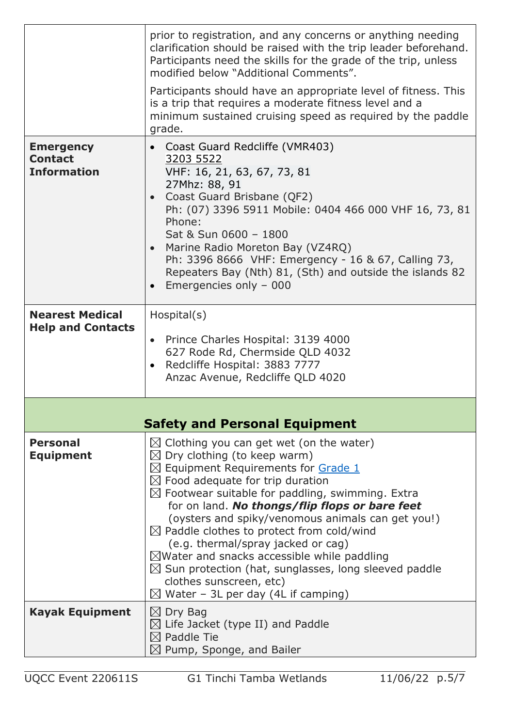|                                                          | prior to registration, and any concerns or anything needing<br>clarification should be raised with the trip leader beforehand.<br>Participants need the skills for the grade of the trip, unless<br>modified below "Additional Comments".                                                                                                                                                                                                                                                                                                                                                                                                                                      |  |  |
|----------------------------------------------------------|--------------------------------------------------------------------------------------------------------------------------------------------------------------------------------------------------------------------------------------------------------------------------------------------------------------------------------------------------------------------------------------------------------------------------------------------------------------------------------------------------------------------------------------------------------------------------------------------------------------------------------------------------------------------------------|--|--|
|                                                          | Participants should have an appropriate level of fitness. This<br>is a trip that requires a moderate fitness level and a<br>minimum sustained cruising speed as required by the paddle<br>grade.                                                                                                                                                                                                                                                                                                                                                                                                                                                                               |  |  |
| <b>Emergency</b><br><b>Contact</b><br><b>Information</b> | Coast Guard Redcliffe (VMR403)<br>$\bullet$<br>3203 5522<br>VHF: 16, 21, 63, 67, 73, 81<br>27Mhz: 88, 91<br>Coast Guard Brisbane (QF2)<br>Ph: (07) 3396 5911 Mobile: 0404 466 000 VHF 16, 73, 81<br>Phone:<br>Sat & Sun 0600 - 1800<br>• Marine Radio Moreton Bay (VZ4RQ)<br>Ph: 3396 8666 VHF: Emergency - 16 & 67, Calling 73,<br>Repeaters Bay (Nth) 81, (Sth) and outside the islands 82<br>Emergencies only - 000                                                                                                                                                                                                                                                         |  |  |
| <b>Nearest Medical</b><br><b>Help and Contacts</b>       | Hospital(s)<br>• Prince Charles Hospital: 3139 4000<br>627 Rode Rd, Chermside QLD 4032<br>Redcliffe Hospital: 3883 7777<br>$\bullet$<br>Anzac Avenue, Redcliffe QLD 4020                                                                                                                                                                                                                                                                                                                                                                                                                                                                                                       |  |  |
|                                                          | <b>Safety and Personal Equipment</b>                                                                                                                                                                                                                                                                                                                                                                                                                                                                                                                                                                                                                                           |  |  |
| <b>Personal</b><br><b>Equipment</b>                      | $\boxtimes$ Clothing you can get wet (on the water)<br>$\boxtimes$ Dry clothing (to keep warm)<br>$\boxtimes$ Equipment Requirements for Grade 1<br>$\boxtimes$ Food adequate for trip duration<br>$\boxtimes$ Footwear suitable for paddling, swimming. Extra<br>for on land. No thongs/flip flops or bare feet<br>(oysters and spiky/venomous animals can get you!)<br>$\boxtimes$ Paddle clothes to protect from cold/wind<br>(e.g. thermal/spray jacked or cag)<br>$\boxtimes$ Water and snacks accessible while paddling<br>$\boxtimes$ Sun protection (hat, sunglasses, long sleeved paddle<br>clothes sunscreen, etc)<br>$\boxtimes$ Water – 3L per day (4L if camping) |  |  |
| <b>Kayak Equipment</b>                                   | $\boxtimes$ Dry Bag<br>$\boxtimes$ Life Jacket (type II) and Paddle<br>$\boxtimes$ Paddle Tie<br>$\boxtimes$ Pump, Sponge, and Bailer                                                                                                                                                                                                                                                                                                                                                                                                                                                                                                                                          |  |  |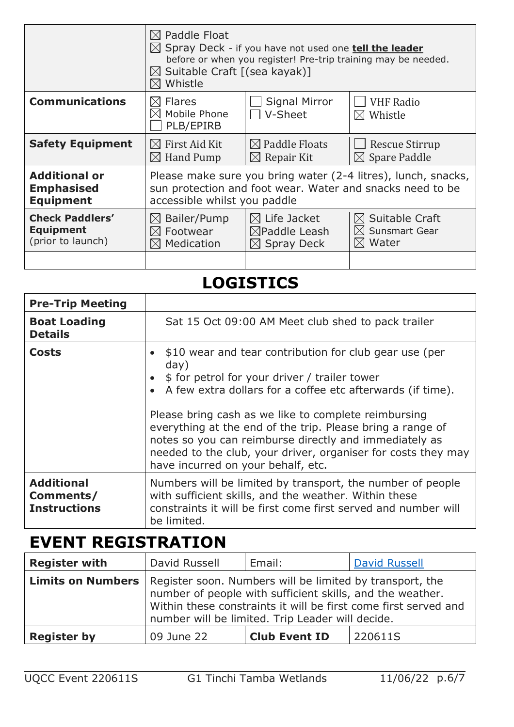|                         | $\boxtimes$ Paddle Float<br>$\boxtimes$ Spray Deck - if you have not used one <b>tell the leader</b><br>before or when you register! Pre-trip training may be needed.<br>$\boxtimes$ Suitable Craft $($ sea kayak $)$ ]<br>Whistle |                                 |                                         |
|-------------------------|------------------------------------------------------------------------------------------------------------------------------------------------------------------------------------------------------------------------------------|---------------------------------|-----------------------------------------|
| <b>Communications</b>   | <b>Flares</b><br>$\bowtie$<br>Mobile Phone<br>PLB/EPIRB                                                                                                                                                                            | <b>Signal Mirror</b><br>V-Sheet | <b>VHF Radio</b><br>$\boxtimes$ Whistle |
| <b>Safety Equipment</b> | $\boxtimes$ First Aid Kit                                                                                                                                                                                                          | $\boxtimes$ Paddle Floats       | <b>Rescue Stirrup</b>                   |
|                         | $\boxtimes$ Hand Pump                                                                                                                                                                                                              | $\boxtimes$ Repair Kit          | $\boxtimes$ Spare Paddle                |
| <b>Additional or</b>    | Please make sure you bring water (2-4 litres), lunch, snacks,                                                                                                                                                                      |                                 |                                         |
| <b>Emphasised</b>       | sun protection and foot wear. Water and snacks need to be                                                                                                                                                                          |                                 |                                         |
| <b>Equipment</b>        | accessible whilst you paddle                                                                                                                                                                                                       |                                 |                                         |
| <b>Check Paddlers'</b>  | $\boxtimes$ Bailer/Pump                                                                                                                                                                                                            | $\boxtimes$ Life Jacket         | $\boxtimes$ Suitable Craft              |
| <b>Equipment</b>        | $\boxtimes$ Footwear                                                                                                                                                                                                               | $\boxtimes$ Paddle Leash        | $\boxtimes$ Sunsmart Gear               |
| (prior to launch)       | $\boxtimes$ Medication                                                                                                                                                                                                             | $\boxtimes$ Spray Deck          | $\boxtimes$ Water                       |
|                         |                                                                                                                                                                                                                                    |                                 |                                         |

## **LOGISTICS**

| <b>Pre-Trip Meeting</b>                               |                                                                                                                                                                                                                                                                                                                                                                                                                                                                          |
|-------------------------------------------------------|--------------------------------------------------------------------------------------------------------------------------------------------------------------------------------------------------------------------------------------------------------------------------------------------------------------------------------------------------------------------------------------------------------------------------------------------------------------------------|
| <b>Boat Loading</b><br><b>Details</b>                 | Sat 15 Oct 09:00 AM Meet club shed to pack trailer                                                                                                                                                                                                                                                                                                                                                                                                                       |
| <b>Costs</b>                                          | \$10 wear and tear contribution for club gear use (per<br>day)<br>• \$ for petrol for your driver / trailer tower<br>• A few extra dollars for a coffee etc afterwards (if time).<br>Please bring cash as we like to complete reimbursing<br>everything at the end of the trip. Please bring a range of<br>notes so you can reimburse directly and immediately as<br>needed to the club, your driver, organiser for costs they may<br>have incurred on your behalf, etc. |
| <b>Additional</b><br>Comments/<br><b>Instructions</b> | Numbers will be limited by transport, the number of people<br>with sufficient skills, and the weather. Within these<br>constraints it will be first come first served and number will<br>be limited.                                                                                                                                                                                                                                                                     |

### **EVENT REGISTRATION**

| <b>Register with</b>                                                                | David Russell | Email:                                                                                                        | <b>David Russell</b>                                            |
|-------------------------------------------------------------------------------------|---------------|---------------------------------------------------------------------------------------------------------------|-----------------------------------------------------------------|
| <b>Limits on Numbers</b>   Register soon. Numbers will be limited by transport, the |               | number of people with sufficient skills, and the weather.<br>number will be limited. Trip Leader will decide. | Within these constraints it will be first come first served and |
| <b>Register by</b>                                                                  | 09 June 22    | <b>Club Event ID</b>                                                                                          | 220611S                                                         |